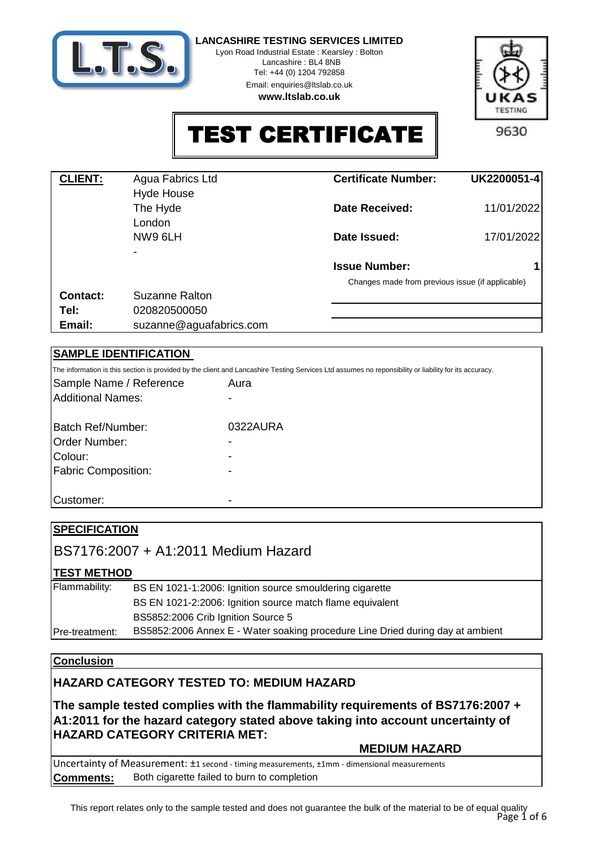

Lyon Road Industrial Estate : Kearsley : Bolton Lancashire : BL4 8NB

Tel: +44 (0) 1204 792858

Email: enquiries@ltslab.co.uk





TEST CERTIFICATE

| <b>CLIENT:</b> | Agua Fabrics Ltd<br><b>Hyde House</b> | <b>Certificate Number:</b>                       | UK2200051-4 |
|----------------|---------------------------------------|--------------------------------------------------|-------------|
|                | The Hyde<br>London                    | Date Received:                                   | 11/01/2022  |
|                | NW9 6LH                               | Date Issued:                                     | 17/01/2022  |
|                |                                       | <b>Issue Number:</b>                             |             |
|                |                                       | Changes made from previous issue (if applicable) |             |
| Contact:       | Suzanne Ralton                        |                                                  |             |
| Tel:           | 020820500050                          |                                                  |             |
| Email:         | suzanne@aguafabrics.com               |                                                  |             |

## **SAMPLE IDENTIFICATION**

The information is this section is provided by the client and Lancashire Testing Services Ltd assumes no reponsibility or liability for its accuracy.

| Sample Name / Reference<br><b>Additional Names:</b> | Aura<br>$\overline{\phantom{0}}$ |
|-----------------------------------------------------|----------------------------------|
| Batch Ref/Number:                                   | 0322AURA                         |
| Order Number:                                       | $\overline{\phantom{0}}$         |
| Colour:                                             | $\overline{\phantom{0}}$         |
| <b>Fabric Composition:</b>                          | -                                |
|                                                     |                                  |
| Customer:                                           |                                  |

| <b>SPECIFICATION</b> |                                                                                |
|----------------------|--------------------------------------------------------------------------------|
|                      | BS7176:2007 + A1:2011 Medium Hazard                                            |
| <b>TEST METHOD</b>   |                                                                                |
| Flammability:        | BS EN 1021-1:2006: Ignition source smouldering cigarette                       |
|                      | BS EN 1021-2:2006: Ignition source match flame equivalent                      |
|                      | BS5852:2006 Crib Ignition Source 5                                             |
| Pre-treatment:       | BS5852:2006 Annex E - Water soaking procedure Line Dried during day at ambient |
|                      |                                                                                |

## **Conclusion**

## **HAZARD CATEGORY TESTED TO: MEDIUM HAZARD**

**The sample tested complies with the flammability requirements of BS7176:2007 + A1:2011 for the hazard category stated above taking into account uncertainty of HAZARD CATEGORY CRITERIA MET:** 

## **MEDIUM HAZARD**

Uncertainty of Measurement: ±1 second - timing measurements, ±1mm - dimensional measurements **Comments:** Both cigarette failed to burn to completion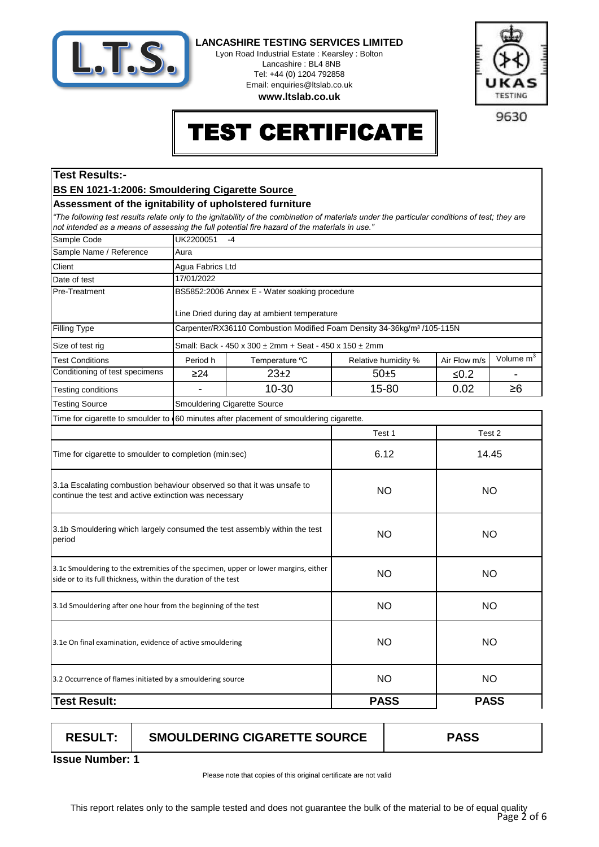

Lyon Road Industrial Estate : Kearsley : Bolton Lancashire : BL4 8NB Tel: +44 (0) 1204 792858 Email: enquiries@ltslab.co.uk

**www.ltslab.co.uk**



9630

# EST CERTIFICATE

## **Test Results:-**

#### **BS EN 1021-1:2006: Smouldering Cigarette Source**

#### **Assessment of the ignitability of upholstered furniture**

*"The following test results relate only to the ignitability of the combination of materials under the particular conditions of test; they are not intended as a means of assessing the full potential fire hazard of the materials in use."*

| Sample Code                                                                                                                                           | UK2200051<br>$-4$ |                                                                                     |                     |              |                       |  |
|-------------------------------------------------------------------------------------------------------------------------------------------------------|-------------------|-------------------------------------------------------------------------------------|---------------------|--------------|-----------------------|--|
| Sample Name / Reference                                                                                                                               | Aura              |                                                                                     |                     |              |                       |  |
| Client                                                                                                                                                | Agua Fabrics Ltd  |                                                                                     |                     |              |                       |  |
| Date of test                                                                                                                                          | 17/01/2022        |                                                                                     |                     |              |                       |  |
| Pre-Treatment                                                                                                                                         |                   | BS5852:2006 Annex E - Water soaking procedure                                       |                     |              |                       |  |
|                                                                                                                                                       |                   |                                                                                     |                     |              |                       |  |
|                                                                                                                                                       |                   | Line Dried during day at ambient temperature                                        |                     |              |                       |  |
| <b>Filling Type</b>                                                                                                                                   |                   | Carpenter/RX36110 Combustion Modified Foam Density 34-36kg/m <sup>3</sup> /105-115N |                     |              |                       |  |
| Size of test rig                                                                                                                                      |                   | Small: Back - 450 x 300 ± 2mm + Seat - 450 x 150 ± 2mm                              |                     |              |                       |  |
| <b>Test Conditions</b>                                                                                                                                | Period h          | Temperature °C                                                                      | Relative humidity % | Air Flow m/s | Volume m <sup>3</sup> |  |
| Conditioning of test specimens                                                                                                                        | $\geq$ 24         | $23+2$                                                                              | 50±5                | $≤0.2$       |                       |  |
| Testing conditions                                                                                                                                    |                   | 10-30                                                                               | 15-80               | 0.02         | $\geq 6$              |  |
| <b>Testing Source</b>                                                                                                                                 |                   | <b>Smouldering Cigarette Source</b>                                                 |                     |              |                       |  |
| Time for cigarette to smoulder to                                                                                                                     |                   | 60 minutes after placement of smouldering cigarette.                                |                     |              |                       |  |
|                                                                                                                                                       |                   |                                                                                     | Test 1              |              | Test 2                |  |
| Time for cigarette to smoulder to completion (min:sec)                                                                                                |                   |                                                                                     | 6.12                | 14.45        |                       |  |
| 3.1a Escalating combustion behaviour observed so that it was unsafe to<br>continue the test and active extinction was necessary                       |                   |                                                                                     | <b>NO</b>           | <b>NO</b>    |                       |  |
| 3.1b Smouldering which largely consumed the test assembly within the test<br>period                                                                   |                   |                                                                                     | <b>NO</b>           | <b>NO</b>    |                       |  |
| 3.1c Smouldering to the extremities of the specimen, upper or lower margins, either<br>side or to its full thickness, within the duration of the test |                   |                                                                                     | <b>NO</b>           | <b>NO</b>    |                       |  |
| 3.1d Smouldering after one hour from the beginning of the test                                                                                        |                   |                                                                                     | <b>NO</b>           | <b>NO</b>    |                       |  |
| 3.1e On final examination, evidence of active smouldering                                                                                             |                   |                                                                                     | <b>NO</b>           | <b>NO</b>    |                       |  |
| 3.2 Occurrence of flames initiated by a smouldering source                                                                                            |                   |                                                                                     | <b>NO</b>           | <b>NO</b>    |                       |  |
| <b>Test Result:</b>                                                                                                                                   |                   |                                                                                     | <b>PASS</b>         | <b>PASS</b>  |                       |  |

| <b>RESULT:</b> | <b>SMOULDERING CIGARETTE SOURCE</b> | PASS |
|----------------|-------------------------------------|------|
|                |                                     |      |

**1 Issue Number:**

Please note that copies of this original certificate are not valid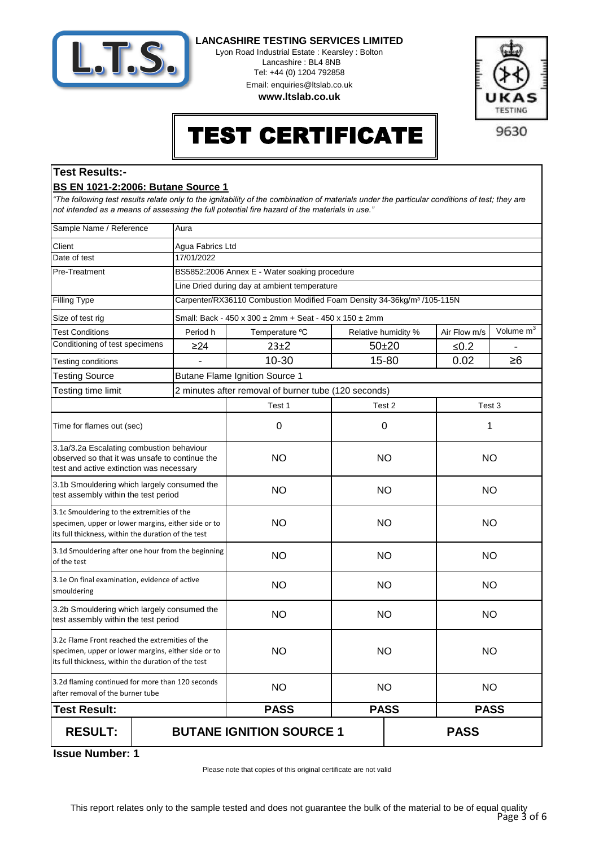

Lyon Road Industrial Estate : Kearsley : Bolton Lancashire : BL4 8NB Tel: +44 (0) 1204 792858 Email: enquiries@ltslab.co.uk

**www.ltslab.co.uk**



## TEST CERTIFICATE

9630

## **Test Results:- BS EN 1021-2:2006: Butane Source 1**

*"The following test results relate only to the ignitability of the combination of materials under the particular conditions of test; they are not intended as a means of assessing the full potential fire hazard of the materials in use."*

| Sample Name / Reference                                                                                                                                       | Aura       |                                                                                     |                        |                     |              |                       |  |
|---------------------------------------------------------------------------------------------------------------------------------------------------------------|------------|-------------------------------------------------------------------------------------|------------------------|---------------------|--------------|-----------------------|--|
| Client                                                                                                                                                        |            | Agua Fabrics Ltd                                                                    |                        |                     |              |                       |  |
| Date of test                                                                                                                                                  | 17/01/2022 |                                                                                     |                        |                     |              |                       |  |
| Pre-Treatment                                                                                                                                                 |            | BS5852:2006 Annex E - Water soaking procedure                                       |                        |                     |              |                       |  |
|                                                                                                                                                               |            | Line Dried during day at ambient temperature                                        |                        |                     |              |                       |  |
| <b>Filling Type</b>                                                                                                                                           |            | Carpenter/RX36110 Combustion Modified Foam Density 34-36kg/m <sup>3</sup> /105-115N |                        |                     |              |                       |  |
| Size of test rig                                                                                                                                              |            | Small: Back - 450 x 300 ± 2mm + Seat - 450 x 150 ± 2mm                              |                        |                     |              |                       |  |
| <b>Test Conditions</b>                                                                                                                                        | Period h   | Temperature °C                                                                      |                        | Relative humidity % | Air Flow m/s | Volume m <sup>3</sup> |  |
| Conditioning of test specimens                                                                                                                                | $\geq$ 24  | $23 + 2$                                                                            |                        | $50 + 20$           | $≤0.2$       |                       |  |
| Testing conditions                                                                                                                                            |            | 10-30                                                                               |                        | 15-80               | 0.02         | $\geq 6$              |  |
| <b>Testing Source</b>                                                                                                                                         |            | <b>Butane Flame Ignition Source 1</b>                                               |                        |                     |              |                       |  |
| Testing time limit                                                                                                                                            |            | 2 minutes after removal of burner tube (120 seconds)                                |                        |                     |              |                       |  |
|                                                                                                                                                               |            | Test 1                                                                              |                        | Test 2              |              | Test 3                |  |
| Time for flames out (sec)                                                                                                                                     |            | 0                                                                                   |                        | $\mathbf 0$         |              | 1                     |  |
| 3.1a/3.2a Escalating combustion behaviour<br>observed so that it was unsafe to continue the<br>test and active extinction was necessary                       |            | <b>NO</b>                                                                           |                        | <b>NO</b>           |              | <b>NO</b>             |  |
| 3.1b Smouldering which largely consumed the<br>test assembly within the test period                                                                           |            | <b>NO</b>                                                                           |                        | <b>NO</b>           | <b>NO</b>    |                       |  |
| 3.1c Smouldering to the extremities of the<br>specimen, upper or lower margins, either side or to<br>its full thickness, within the duration of the test      |            | <b>NO</b>                                                                           |                        | <b>NO</b>           | <b>NO</b>    |                       |  |
| 3.1d Smouldering after one hour from the beginning<br>of the test                                                                                             |            | <b>NO</b>                                                                           | <b>NO</b><br><b>NO</b> |                     |              |                       |  |
| 3.1e On final examination, evidence of active<br>smouldering                                                                                                  |            | <b>NO</b>                                                                           | NO.                    |                     |              | NO.                   |  |
| 3.2b Smouldering which largely consumed the<br>test assembly within the test period                                                                           |            | <b>NO</b>                                                                           | <b>NO</b>              |                     | <b>NO</b>    |                       |  |
| 3.2c Flame Front reached the extremities of the<br>specimen, upper or lower margins, either side or to<br>its full thickness, within the duration of the test |            | <b>NO</b>                                                                           | <b>NO</b>              |                     | <b>NO</b>    |                       |  |
| 3.2d flaming continued for more than 120 seconds<br>after removal of the burner tube                                                                          |            | <b>NO</b>                                                                           | <b>NO</b>              |                     | <b>NO</b>    |                       |  |
| <b>Test Result:</b>                                                                                                                                           |            | <b>PASS</b>                                                                         | <b>PASS</b>            |                     | <b>PASS</b>  |                       |  |
| <b>RESULT:</b>                                                                                                                                                |            | <b>BUTANE IGNITION SOURCE 1</b>                                                     |                        |                     | <b>PASS</b>  |                       |  |

**1 Issue Number:**

Please note that copies of this original certificate are not valid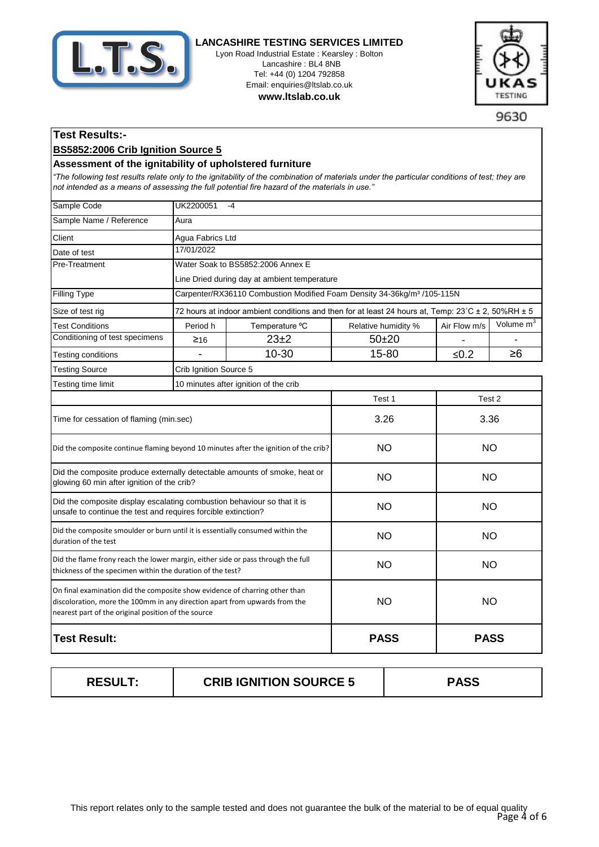

Lyon Road Industrial Estate : Kearsley : Bolton Lancashire : BL4 8NB Tel: +44 (0) 1204 792858 Email: enquiries@ltslab.co.uk

**www.ltslab.co.uk**



9630

## **Test Results:-**

#### **BS5852:2006 Crib Ignition Source 5**

#### **Assessment of the ignitability of upholstered furniture**

*"The following test results relate only to the ignitability of the combination of materials under the particular conditions of test; they are not intended as a means of assessing the full potential fire hazard of the materials in use."*

| Sample Code                                                                                                                                                                                                      | UK2200051<br>$-4$      |                                                                                                              |                     |              |                       |
|------------------------------------------------------------------------------------------------------------------------------------------------------------------------------------------------------------------|------------------------|--------------------------------------------------------------------------------------------------------------|---------------------|--------------|-----------------------|
| Sample Name / Reference                                                                                                                                                                                          | Aura                   |                                                                                                              |                     |              |                       |
| Client                                                                                                                                                                                                           | Agua Fabrics Ltd       |                                                                                                              |                     |              |                       |
| Date of test                                                                                                                                                                                                     | 17/01/2022             |                                                                                                              |                     |              |                       |
| Pre-Treatment                                                                                                                                                                                                    |                        | Water Soak to BS5852:2006 Annex E                                                                            |                     |              |                       |
|                                                                                                                                                                                                                  |                        | Line Dried during day at ambient temperature                                                                 |                     |              |                       |
| <b>Filling Type</b>                                                                                                                                                                                              |                        | Carpenter/RX36110 Combustion Modified Foam Density 34-36kg/m <sup>3</sup> /105-115N                          |                     |              |                       |
| Size of test rig                                                                                                                                                                                                 |                        | 72 hours at indoor ambient conditions and then for at least 24 hours at, Temp: $23^{\circ}$ C ± 2, 50%RH ± 5 |                     |              |                       |
| <b>Test Conditions</b>                                                                                                                                                                                           | Period h               | Temperature °C                                                                                               | Relative humidity % | Air Flow m/s | Volume m <sup>3</sup> |
| Conditioning of test specimens                                                                                                                                                                                   | 216                    | $23\pm2$                                                                                                     | $50 + 20$           |              |                       |
| Testing conditions                                                                                                                                                                                               |                        | 10-30                                                                                                        | 15-80               | $≤0.2$       | ≥6                    |
| <b>Testing Source</b>                                                                                                                                                                                            | Crib Ignition Source 5 |                                                                                                              |                     |              |                       |
| Testing time limit                                                                                                                                                                                               |                        | 10 minutes after ignition of the crib                                                                        |                     |              |                       |
|                                                                                                                                                                                                                  |                        |                                                                                                              | Test 1              | Test 2       |                       |
| Time for cessation of flaming (min.sec)                                                                                                                                                                          |                        |                                                                                                              | 3.26                | 3.36         |                       |
| Did the composite continue flaming beyond 10 minutes after the ignition of the crib?                                                                                                                             |                        |                                                                                                              | <b>NO</b>           | <b>NO</b>    |                       |
| Did the composite produce externally detectable amounts of smoke, heat or<br>glowing 60 min after ignition of the crib?                                                                                          |                        |                                                                                                              | <b>NO</b>           | <b>NO</b>    |                       |
| Did the composite display escalating combustion behaviour so that it is<br>unsafe to continue the test and requires forcible extinction?                                                                         |                        |                                                                                                              | <b>NO</b>           | <b>NO</b>    |                       |
| Did the composite smoulder or burn until it is essentially consumed within the<br>duration of the test                                                                                                           |                        |                                                                                                              | <b>NO</b>           | <b>NO</b>    |                       |
| Did the flame frony reach the lower margin, either side or pass through the full<br>thickness of the specimen within the duration of the test?                                                                   |                        |                                                                                                              | <b>NO</b>           | <b>NO</b>    |                       |
| On final examination did the composite show evidence of charring other than<br>discoloration, more the 100mm in any direction apart from upwards from the<br>nearest part of the original position of the source |                        | <b>NO</b>                                                                                                    | <b>NO</b>           |              |                       |
| <b>Test Result:</b>                                                                                                                                                                                              |                        | <b>PASS</b>                                                                                                  | <b>PASS</b>         |              |                       |

| <b>RESULT:</b> | <b>CRIB IGNITION SOURCE 5</b> | PASS |
|----------------|-------------------------------|------|
|                |                               |      |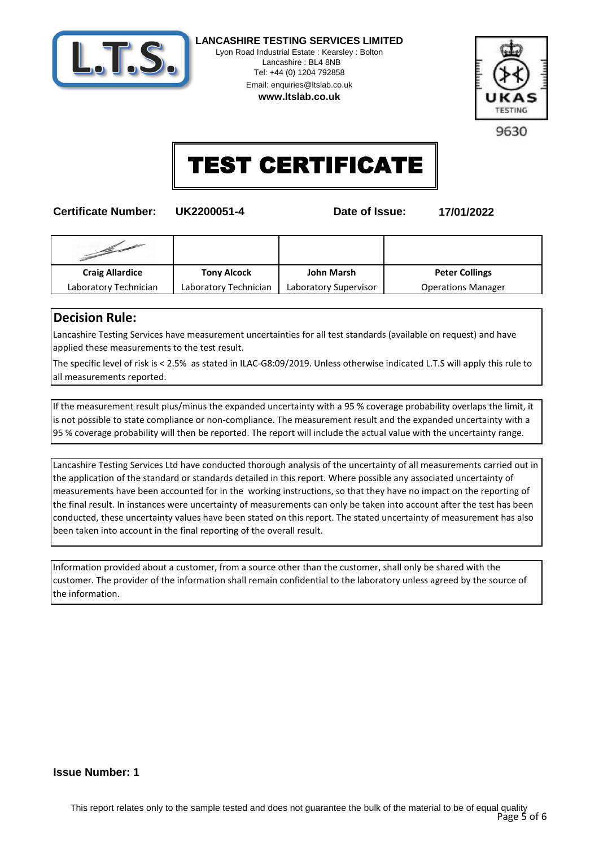

Lyon Road Industrial Estate : Kearsley : Bolton Lancashire : BL4 8NB Tel: +44 (0) 1204 792858 Email: enquiries@ltslab.co.uk

**www.ltslab.co.uk**



9630

## TEST CERTIFICATE

**Certificate Number: UK2200051-4 Date of Issue: 17/01/2022**

| <b>Craig Allardice</b> | <b>Tony Alcock</b>    | <b>John Marsh</b>     | <b>Peter Collings</b>     |
|------------------------|-----------------------|-----------------------|---------------------------|
| Laboratory Technician  | Laboratory Technician | Laboratory Supervisor | <b>Operations Manager</b> |

## **Decision Rule:**

Lancashire Testing Services have measurement uncertainties for all test standards (available on request) and have applied these measurements to the test result.

The specific level of risk is < 2.5% as stated in ILAC-G8:09/2019. Unless otherwise indicated L.T.S will apply this rule to all measurements reported.

If the measurement result plus/minus the expanded uncertainty with a 95 % coverage probability overlaps the limit, it is not possible to state compliance or non-compliance. The measurement result and the expanded uncertainty with a 95 % coverage probability will then be reported. The report will include the actual value with the uncertainty range.

Lancashire Testing Services Ltd have conducted thorough analysis of the uncertainty of all measurements carried out in the application of the standard or standards detailed in this report. Where possible any associated uncertainty of measurements have been accounted for in the working instructions, so that they have no impact on the reporting of the final result. In instances were uncertainty of measurements can only be taken into account after the test has been conducted, these uncertainty values have been stated on this report. The stated uncertainty of measurement has also been taken into account in the final reporting of the overall result.

Information provided about a customer, from a source other than the customer, shall only be shared with the customer. The provider of the information shall remain confidential to the laboratory unless agreed by the source of the information.

#### **Issue Number: 1**